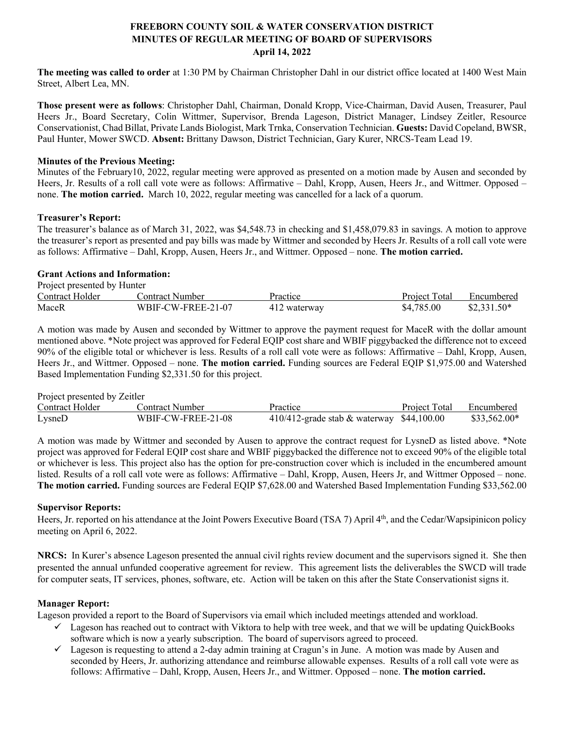# **FREEBORN COUNTY SOIL & WATER CONSERVATION DISTRICT MINUTES OF REGULAR MEETING OF BOARD OF SUPERVISORS April 14, 2022**

**The meeting was called to order** at 1:30 PM by Chairman Christopher Dahl in our district office located at 1400 West Main Street, Albert Lea, MN.

**Those present were as follows**: Christopher Dahl, Chairman, Donald Kropp, Vice-Chairman, David Ausen, Treasurer, Paul Heers Jr., Board Secretary, Colin Wittmer, Supervisor, Brenda Lageson, District Manager, Lindsey Zeitler, Resource Conservationist, Chad Billat, Private Lands Biologist, Mark Trnka, Conservation Technician. **Guests:** David Copeland, BWSR, Paul Hunter, Mower SWCD. **Absent:** Brittany Dawson, District Technician, Gary Kurer, NRCS-Team Lead 19.

#### **Minutes of the Previous Meeting:**

Minutes of the February10, 2022, regular meeting were approved as presented on a motion made by Ausen and seconded by Heers, Jr. Results of a roll call vote were as follows: Affirmative – Dahl, Kropp, Ausen, Heers Jr., and Wittmer. Opposed – none. **The motion carried.** March 10, 2022, regular meeting was cancelled for a lack of a quorum.

### **Treasurer's Report:**

The treasurer's balance as of March 31, 2022, was \$4,548.73 in checking and \$1,458,079.83 in savings. A motion to approve the treasurer's report as presented and pay bills was made by Wittmer and seconded by Heers Jr. Results of a roll call vote were as follows: Affirmative – Dahl, Kropp, Ausen, Heers Jr., and Wittmer. Opposed – none. **The motion carried.**

#### **Grant Actions and Information:** Project presented by Hunter

| Project presented by Hunter |                    |              |               |              |  |  |
|-----------------------------|--------------------|--------------|---------------|--------------|--|--|
| Contract Holder             | Contract Number    | Practice     | Project Total | Encumbered   |  |  |
| MaceR                       | WBIF-CW-FREE-21-07 | 412 waterway | \$4,785.00    | $$2,331.50*$ |  |  |

A motion was made by Ausen and seconded by Wittmer to approve the payment request for MaceR with the dollar amount mentioned above. \*Note project was approved for Federal EQIP cost share and WBIF piggybacked the difference not to exceed 90% of the eligible total or whichever is less. Results of a roll call vote were as follows: Affirmative – Dahl, Kropp, Ausen, Heers Jr., and Wittmer. Opposed – none. **The motion carried.** Funding sources are Federal EQIP \$1,975.00 and Watershed Based Implementation Funding \$2,331.50 for this project.

#### Project presented by Zeitler

| $110$ $\mu$     |                    |                                              |  |                          |  |  |
|-----------------|--------------------|----------------------------------------------|--|--------------------------|--|--|
| Contract Holder | Contract Number    | Practice                                     |  | Project Total Encumbered |  |  |
| LysneD          | WBIF-CW-FREE-21-08 | $410/412$ -grade stab & waterway \$44,100.00 |  | $$33,562.00*$            |  |  |

A motion was made by Wittmer and seconded by Ausen to approve the contract request for LysneD as listed above. \*Note project was approved for Federal EQIP cost share and WBIF piggybacked the difference not to exceed 90% of the eligible total or whichever is less. This project also has the option for pre-construction cover which is included in the encumbered amount listed. Results of a roll call vote were as follows: Affirmative – Dahl, Kropp, Ausen, Heers Jr, and Wittmer Opposed – none. **The motion carried.** Funding sources are Federal EQIP \$7,628.00 and Watershed Based Implementation Funding \$33,562.00

#### **Supervisor Reports:**

Heers, Jr. reported on his attendance at the Joint Powers Executive Board (TSA 7) April 4<sup>th</sup>, and the Cedar/Wapsipinicon policy meeting on April 6, 2022.

**NRCS:** In Kurer's absence Lageson presented the annual civil rights review document and the supervisors signed it. She then presented the annual unfunded cooperative agreement for review. This agreement lists the deliverables the SWCD will trade for computer seats, IT services, phones, software, etc. Action will be taken on this after the State Conservationist signs it.

## **Manager Report:**

Lageson provided a report to the Board of Supervisors via email which included meetings attended and workload.

- $\checkmark$  Lageson has reached out to contract with Viktora to help with tree week, and that we will be updating QuickBooks software which is now a yearly subscription. The board of supervisors agreed to proceed.
- $\checkmark$  Lageson is requesting to attend a 2-day admin training at Cragun's in June. A motion was made by Ausen and seconded by Heers, Jr. authorizing attendance and reimburse allowable expenses. Results of a roll call vote were as follows: Affirmative – Dahl, Kropp, Ausen, Heers Jr., and Wittmer. Opposed – none. **The motion carried.**